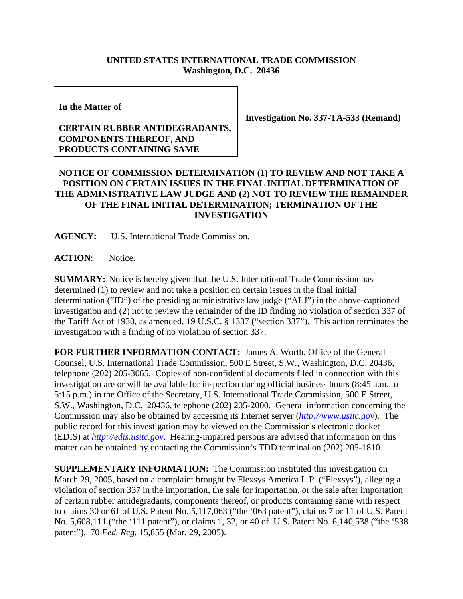## **UNITED STATES INTERNATIONAL TRADE COMMISSION Washington, D.C. 20436**

**In the Matter of**

## **CERTAIN RUBBER ANTIDEGRADANTS, COMPONENTS THEREOF, AND PRODUCTS CONTAINING SAME**

**Investigation No. 337-TA-533 (Remand)**

## **NOTICE OF COMMISSION DETERMINATION (1) TO REVIEW AND NOT TAKE A POSITION ON CERTAIN ISSUES IN THE FINAL INITIAL DETERMINATION OF THE ADMINISTRATIVE LAW JUDGE AND (2) NOT TO REVIEW THE REMAINDER OF THE FINAL INITIAL DETERMINATION; TERMINATION OF THE INVESTIGATION**

**AGENCY:** U.S. International Trade Commission.

**ACTION**: Notice.

**SUMMARY:** Notice is hereby given that the U.S. International Trade Commission has determined (1) to review and not take a position on certain issues in the final initial determination ("ID") of the presiding administrative law judge ("ALJ") in the above-captioned investigation and (2) not to review the remainder of the ID finding no violation of section 337 of the Tariff Act of 1930, as amended, 19 U.S.C. § 1337 ("section 337"). This action terminates the investigation with a finding of no violation of section 337.

**FOR FURTHER INFORMATION CONTACT:** James A. Worth, Office of the General Counsel, U.S. International Trade Commission, 500 E Street, S.W., Washington, D.C. 20436, telephone (202) 205-3065. Copies of non-confidential documents filed in connection with this investigation are or will be available for inspection during official business hours (8:45 a.m. to 5:15 p.m.) in the Office of the Secretary, U.S. International Trade Commission, 500 E Street, S.W., Washington, D.C. 20436, telephone (202) 205-2000. General information concerning the Commission may also be obtained by accessing its Internet server (*http://www.usitc.gov*). The public record for this investigation may be viewed on the Commission's electronic docket (EDIS) at *http://edis.usitc.gov*. Hearing-impaired persons are advised that information on this matter can be obtained by contacting the Commission's TDD terminal on (202) 205-1810.

**SUPPLEMENTARY INFORMATION:** The Commission instituted this investigation on March 29, 2005, based on a complaint brought by Flexsys America L.P. ("Flexsys"), alleging a violation of section 337 in the importation, the sale for importation, or the sale after importation of certain rubber antidegradants, components thereof, or products containing same with respect to claims 30 or 61 of U.S. Patent No. 5,117,063 ("the '063 patent"), claims 7 or 11 of U.S. Patent No. 5,608,111 ("the '111 patent"), or claims 1, 32, or 40 of U.S. Patent No. 6,140,538 ("the '538 patent"). 70 *Fed. Reg.* 15,855 (Mar. 29, 2005).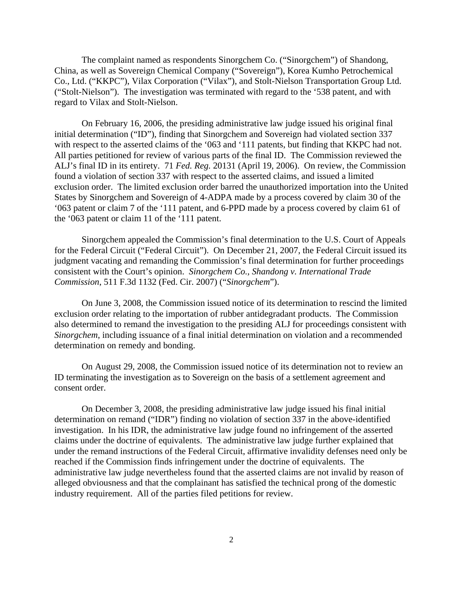The complaint named as respondents Sinorgchem Co. ("Sinorgchem") of Shandong, China, as well as Sovereign Chemical Company ("Sovereign"), Korea Kumho Petrochemical Co., Ltd. ("KKPC"), Vilax Corporation ("Vilax"), and Stolt-Nielson Transportation Group Ltd. ("Stolt-Nielson"). The investigation was terminated with regard to the '538 patent, and with regard to Vilax and Stolt-Nielson.

On February 16, 2006, the presiding administrative law judge issued his original final initial determination ("ID"), finding that Sinorgchem and Sovereign had violated section 337 with respect to the asserted claims of the '063 and '111 patents, but finding that KKPC had not. All parties petitioned for review of various parts of the final ID. The Commission reviewed the ALJ's final ID in its entirety. 71 *Fed. Reg.* 20131 (April 19, 2006). On review, the Commission found a violation of section 337 with respect to the asserted claims, and issued a limited exclusion order. The limited exclusion order barred the unauthorized importation into the United States by Sinorgchem and Sovereign of 4-ADPA made by a process covered by claim 30 of the '063 patent or claim 7 of the '111 patent, and 6-PPD made by a process covered by claim 61 of the '063 patent or claim 11 of the '111 patent.

Sinorgchem appealed the Commission's final determination to the U.S. Court of Appeals for the Federal Circuit ("Federal Circuit"). On December 21, 2007, the Federal Circuit issued its judgment vacating and remanding the Commission's final determination for further proceedings consistent with the Court's opinion. *Sinorgchem Co., Shandong v. International Trade Commission*, 511 F.3d 1132 (Fed. Cir. 2007) ("*Sinorgchem*").

On June 3, 2008, the Commission issued notice of its determination to rescind the limited exclusion order relating to the importation of rubber antidegradant products. The Commission also determined to remand the investigation to the presiding ALJ for proceedings consistent with *Sinorgchem*, including issuance of a final initial determination on violation and a recommended determination on remedy and bonding.

On August 29, 2008, the Commission issued notice of its determination not to review an ID terminating the investigation as to Sovereign on the basis of a settlement agreement and consent order.

On December 3, 2008, the presiding administrative law judge issued his final initial determination on remand ("IDR") finding no violation of section 337 in the above-identified investigation. In his IDR, the administrative law judge found no infringement of the asserted claims under the doctrine of equivalents. The administrative law judge further explained that under the remand instructions of the Federal Circuit, affirmative invalidity defenses need only be reached if the Commission finds infringement under the doctrine of equivalents. The administrative law judge nevertheless found that the asserted claims are not invalid by reason of alleged obviousness and that the complainant has satisfied the technical prong of the domestic industry requirement. All of the parties filed petitions for review.